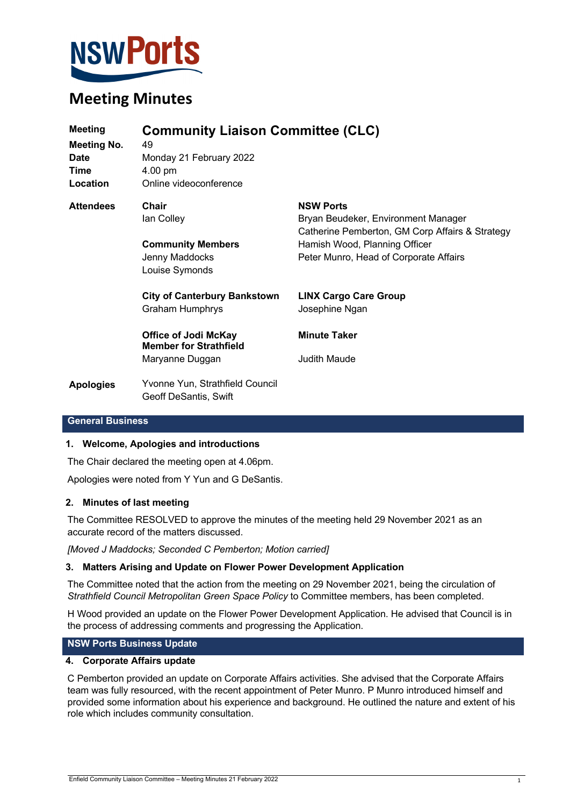

# **Meeting Minutes**

| <b>Meeting</b><br><b>Meeting No.</b><br><b>Date</b><br>Time<br>Location | <b>Community Liaison Committee (CLC)</b><br>49<br>Monday 21 February 2022<br>4.00 pm<br>Online videoconference |                                                                                                            |
|-------------------------------------------------------------------------|----------------------------------------------------------------------------------------------------------------|------------------------------------------------------------------------------------------------------------|
| Attendees                                                               | Chair<br>lan Colley                                                                                            | <b>NSW Ports</b><br>Bryan Beudeker, Environment Manager<br>Catherine Pemberton, GM Corp Affairs & Strategy |
|                                                                         | <b>Community Members</b><br>Jenny Maddocks<br>Louise Symonds                                                   | Hamish Wood, Planning Officer<br>Peter Munro, Head of Corporate Affairs                                    |
|                                                                         | <b>City of Canterbury Bankstown</b><br><b>Graham Humphrys</b>                                                  | <b>LINX Cargo Care Group</b><br>Josephine Ngan                                                             |
|                                                                         | <b>Office of Jodi McKay</b><br><b>Member for Strathfield</b>                                                   | <b>Minute Taker</b>                                                                                        |
|                                                                         | Maryanne Duggan                                                                                                | Judith Maude                                                                                               |
| <b>Apologies</b>                                                        | Yvonne Yun, Strathfield Council<br>Geoff DeSantis, Swift                                                       |                                                                                                            |

# **General Business**

#### **1. Welcome, Apologies and introductions**

The Chair declared the meeting open at 4.06pm.

Apologies were noted from Y Yun and G DeSantis.

# **2. Minutes of last meeting**

The Committee RESOLVED to approve the minutes of the meeting held 29 November 2021 as an accurate record of the matters discussed.

*[Moved J Maddocks; Seconded C Pemberton; Motion carried]*

#### **3. Matters Arising and Update on Flower Power Development Application**

The Committee noted that the action from the meeting on 29 November 2021, being the circulation of *Strathfield Council Metropolitan Green Space Policy* to Committee members, has been completed.

H Wood provided an update on the Flower Power Development Application. He advised that Council is in the process of addressing comments and progressing the Application.

#### **NSW Ports Business Update**

#### **4. Corporate Affairs update**

C Pemberton provided an update on Corporate Affairs activities. She advised that the Corporate Affairs team was fully resourced, with the recent appointment of Peter Munro. P Munro introduced himself and provided some information about his experience and background. He outlined the nature and extent of his role which includes community consultation.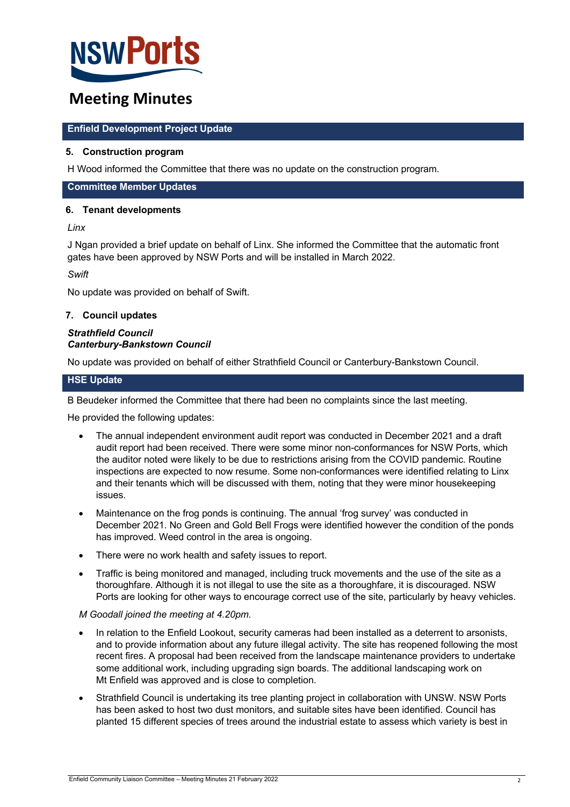

# **Meeting Minutes**

# **Enfield Development Project Update**

### **5. Construction program**

H Wood informed the Committee that there was no update on the construction program.

#### **Committee Member Updates**

#### **6. Tenant developments**

*Linx*

J Ngan provided a brief update on behalf of Linx. She informed the Committee that the automatic front gates have been approved by NSW Ports and will be installed in March 2022.

*Swift*

No update was provided on behalf of Swift.

#### **7. Council updates**

#### *Strathfield Council Canterbury-Bankstown Council*

No update was provided on behalf of either Strathfield Council or Canterbury-Bankstown Council.

# **HSE Update**

B Beudeker informed the Committee that there had been no complaints since the last meeting.

He provided the following updates:

- The annual independent environment audit report was conducted in December 2021 and a draft audit report had been received. There were some minor non-conformances for NSW Ports, which the auditor noted were likely to be due to restrictions arising from the COVID pandemic. Routine inspections are expected to now resume. Some non-conformances were identified relating to Linx and their tenants which will be discussed with them, noting that they were minor housekeeping issues.
- Maintenance on the frog ponds is continuing. The annual 'frog survey' was conducted in December 2021. No Green and Gold Bell Frogs were identified however the condition of the ponds has improved. Weed control in the area is ongoing.
- There were no work health and safety issues to report.
- Traffic is being monitored and managed, including truck movements and the use of the site as a thoroughfare. Although it is not illegal to use the site as a thoroughfare, it is discouraged. NSW Ports are looking for other ways to encourage correct use of the site, particularly by heavy vehicles.

#### *M Goodall joined the meeting at 4.20pm.*

- In relation to the Enfield Lookout, security cameras had been installed as a deterrent to arsonists, and to provide information about any future illegal activity. The site has reopened following the most recent fires. A proposal had been received from the landscape maintenance providers to undertake some additional work, including upgrading sign boards. The additional landscaping work on Mt Enfield was approved and is close to completion.
- Strathfield Council is undertaking its tree planting project in collaboration with UNSW. NSW Ports has been asked to host two dust monitors, and suitable sites have been identified. Council has planted 15 different species of trees around the industrial estate to assess which variety is best in